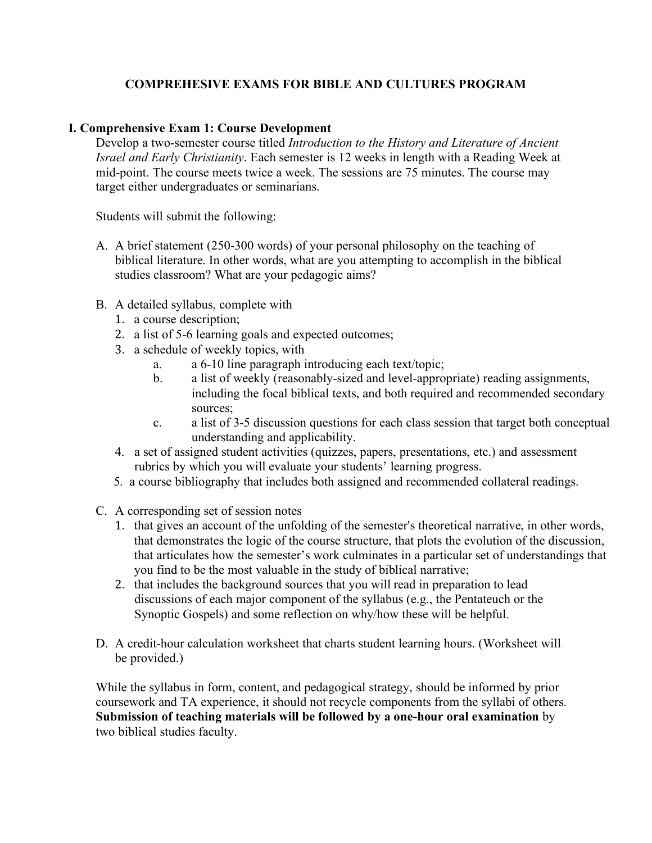# **COMPREHESIVE EXAMS FOR BIBLE AND CULTURES PROGRAM**

#### **I. Comprehensive Exam 1: Course Development**

Develop a two-semester course titled *Introduction to the History and Literature of Ancient Israel and Early Christianity*. Each semester is 12 weeks in length with a Reading Week at mid-point. The course meets twice a week. The sessions are 75 minutes. The course may target either undergraduates or seminarians.

Students will submit the following:

- A. A brief statement (250-300 words) of your personal philosophy on the teaching of biblical literature. In other words, what are you attempting to accomplish in the biblical studies classroom? What are your pedagogic aims?
- B. A detailed syllabus, complete with
	- 1. a course description;
	- 2. a list of 5-6 learning goals and expected outcomes;
	- 3. a schedule of weekly topics, with
		- a. a 6-10 line paragraph introducing each text/topic;
		- b. a list of weekly (reasonably-sized and level-appropriate) reading assignments, including the focal biblical texts, and both required and recommended secondary sources;
		- c. a list of 3-5 discussion questions for each class session that target both conceptual understanding and applicability.
	- 4. a set of assigned student activities (quizzes, papers, presentations, etc.) and assessment rubrics by which you will evaluate your students' learning progress.
	- 5. a course bibliography that includes both assigned and recommended collateral readings.
- C. A corresponding set of session notes
	- 1. that gives an account of the unfolding of the semester's theoretical narrative, in other words, that demonstrates the logic of the course structure, that plots the evolution of the discussion, that articulates how the semester's work culminates in a particular set of understandings that you find to be the most valuable in the study of biblical narrative;
	- 2. that includes the background sources that you will read in preparation to lead discussions of each major component of the syllabus (e.g., the Pentateuch or the Synoptic Gospels) and some reflection on why/how these will be helpful.
- D. A credit-hour calculation worksheet that charts student learning hours. (Worksheet will be provided.)

While the syllabus in form, content, and pedagogical strategy, should be informed by prior coursework and TA experience, it should not recycle components from the syllabi of others. **Submission of teaching materials will be followed by a one-hour oral examination** by two biblical studies faculty.